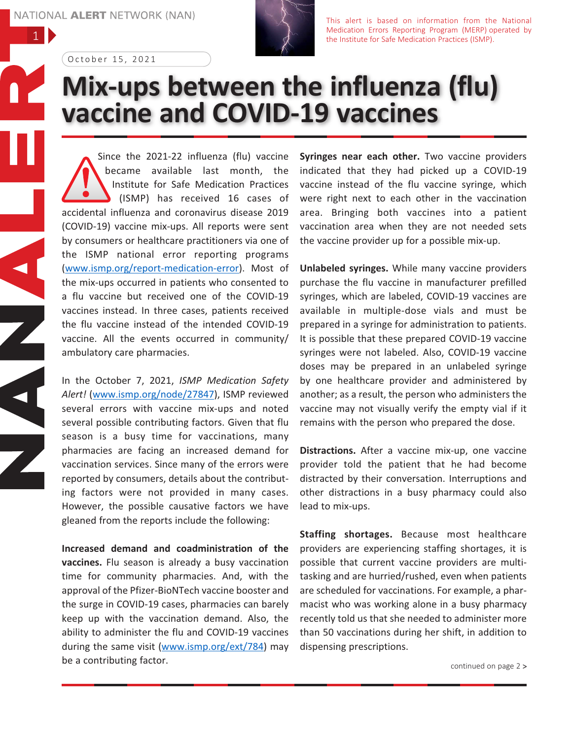1

 $\overline{\blacktriangleleft}$ 

 $\blacksquare$ 



This alert is based on information from the National Medication Errors Reporting Program (MERP) operated by the Institute for Safe Medication Practices (ISMP).

October 15, 2021

## **Mix-ups between the influenza (flu) vaccine and COVID-19 vaccines**

Since the 2021-22 influenza (flu) vaccine became available last month, the Institute for Safe Medication Practices (ISMP) has received 16 cases of accidental influenza and coronavirus disease 2019 (COVID-19) vaccine mix-ups. All reports were sent by consumers or healthcare practitioners via one of the ISMP national error reporting programs (www.ismp.org/report-medication-error). Most of the mix-ups occurred in patients who consented to a flu vaccine but received one of the COVID-19 vaccines instead. In three cases, patients received the flu vaccine instead of the intended COVID-19 vaccine. All the events occurred in community/ ambulatory care pharmacies.

In the October 7, 2021, *ISMP Medication Safety Alert!* (www.ismp.org/node/27847), ISMP reviewed several errors with vaccine mix-ups and noted several possible contributing factors. Given that flu season is a busy time for vaccinations, many pharmacies are facing an increased demand for vaccination services. Since many of the errors were reported by consumers, details about the contributing factors were not provided in many cases. However, the possible causative factors we have gleaned from the reports include the following:

**Increased demand and coadministration of the vaccines.** Flu season is already a busy vaccination time for community pharmacies. And, with the approval of the Pfizer-BioNTech vaccine booster and the surge in COVID-19 cases, pharmacies can barely keep up with the vaccination demand. Also, the ability to administer the flu and COVID-19 vaccines during the same visit (www.ismp.org/ext/784) may be a contributing factor.

**Syringes near each other.** Two vaccine providers indicated that they had picked up a COVID-19 vaccine instead of the flu vaccine syringe, which were right next to each other in the vaccination area. Bringing both vaccines into a patient vaccination area when they are not needed sets the vaccine provider up for a possible mix-up.

**Unlabeled syringes.** While many vaccine providers purchase the flu vaccine in manufacturer prefilled syringes, which are labeled, COVID-19 vaccines are available in multiple-dose vials and must be prepared in a syringe for administration to patients. It is possible that these prepared COVID-19 vaccine syringes were not labeled. Also, COVID-19 vaccine doses may be prepared in an unlabeled syringe by one healthcare provider and administered by another; as a result, the person who administers the vaccine may not visually verify the empty vial if it remains with the person who prepared the dose.

**Distractions.** After a vaccine mix-up, one vaccine provider told the patient that he had become distracted by their conversation. Interruptions and other distractions in a busy pharmacy could also lead to mix-ups.

**Staffing shortages.** Because most healthcare providers are experiencing staffing shortages, it is possible that current vaccine providers are multitasking and are hurried/rushed, even when patients are scheduled for vaccinations. For example, a pharmacist who was working alone in a busy pharmacy recently told us that she needed to administer more than 50 vaccinations during her shift, in addition to dispensing prescriptions.